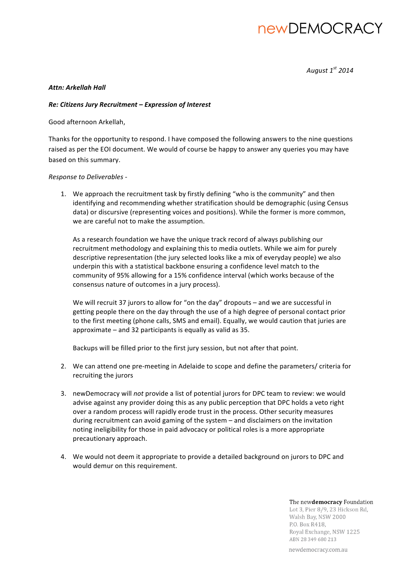# **newDEMOCRACY**

*August 1st 2014*

### *Attn: Arkellah Hall*

### *Re: Citizens Jury Recruitment – Expression of Interest*

Good afternoon Arkellah,

Thanks for the opportunity to respond. I have composed the following answers to the nine questions raised as per the EOI document. We would of course be happy to answer any queries you may have based on this summary.

*Response to Deliverables -*

1. We approach the recruitment task by firstly defining "who is the community" and then identifying and recommending whether stratification should be demographic (using Census data) or discursive (representing voices and positions). While the former is more common, we are careful not to make the assumption.

As a research foundation we have the unique track record of always publishing our recruitment methodology and explaining this to media outlets. While we aim for purely descriptive representation (the jury selected looks like a mix of everyday people) we also underpin this with a statistical backbone ensuring a confidence level match to the community of 95% allowing for a 15% confidence interval (which works because of the consensus nature of outcomes in a jury process).

We will recruit 37 jurors to allow for "on the day" dropouts - and we are successful in getting people there on the day through the use of a high degree of personal contact prior to the first meeting (phone calls, SMS and email). Equally, we would caution that juries are approximate  $-$  and 32 participants is equally as valid as 35.

Backups will be filled prior to the first jury session, but not after that point.

- 2. We can attend one pre-meeting in Adelaide to scope and define the parameters/ criteria for recruiting the jurors
- 3. new Democracy will *not* provide a list of potential jurors for DPC team to review: we would advise against any provider doing this as any public perception that DPC holds a veto right over a random process will rapidly erode trust in the process. Other security measures during recruitment can avoid gaming of the system – and disclaimers on the invitation noting ineligibility for those in paid advocacy or political roles is a more appropriate precautionary approach.
- 4. We would not deem it appropriate to provide a detailed background on jurors to DPC and would demur on this requirement.

#### The newdemocracy Foundation

Lot 3, Pier 8/9, 23 Hickson Rd, Walsh Bay, NSW 2000 P.O. Box R418, Royal Exchange, NSW 1225 ABN 28 349 680 213

newdemocracy.com.au